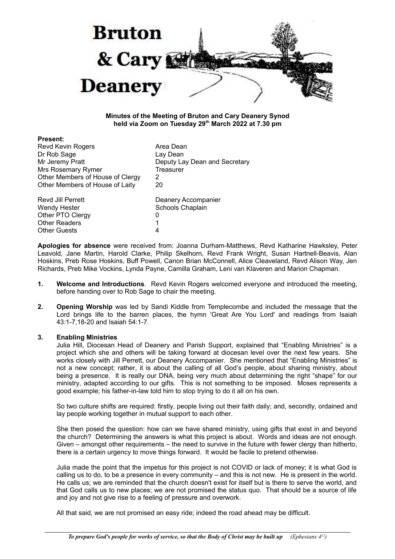

### **Minutes of the Meeting of Bruton and Cary Deanery Synod held via Zoom on Tuesday 29th March 2022 at 7.30 pm**

| <b>Present:</b>                  |                               |
|----------------------------------|-------------------------------|
| <b>Revd Kevin Rogers</b>         | Area Dean                     |
| Dr Rob Sage                      | Lay Dean                      |
| Mr Jeremy Pratt                  | Deputy Lay Dean and Secretary |
| Mrs Rosemary Rymer               | Treasurer                     |
| Other Members of House of Clergy | 2                             |
| Other Members of House of Laity  | 20                            |
| Revd Jill Perrett                | Deanery Accompanier           |
| <b>Wendy Hester</b>              | Schools Chaplain              |
| Other PTO Clergy                 | 0                             |
| <b>Other Readers</b>             | 1                             |
| <b>Other Guests</b>              | 4                             |
|                                  |                               |

**Apologies for absence** were received from: Joanna Durham-Matthews, Revd Katharine Hawksley, Peter Leavold, Jane Martin, Harold Clarke, Philip Skelhorn, Revd Frank Wright, Susan Hartnell-Beavis, Alan Hoskins, Preb Rose Hoskins, Buff Powell, Canon Brian McConnell, Alice Cleaveland, Revd Alison Way, Jen Richards, Preb Mike Vockins, Lynda Payne, Camilla Graham, Leni van Klaveren and Marion Chapman.

- **1. Welcome and Introductions**. Revd Kevin Rogers welcomed everyone and introduced the meeting, before handing over to Rob Sage to chair the meeting.
- **2. Opening Worship** was led by Sandi Kiddle from Templecombe and included the message that the Lord brings life to the barren places, the hymn 'Great Are You Lord' and readings from Isaiah 43:1-7,18-20 and Isaiah 54:1-7.

### **3. Enabling Ministries**

Julia Hill, Diocesan Head of Deanery and Parish Support, explained that "Enabling Ministries" is a project which she and others will be taking forward at diocesan level over the next few years. She works closely with Jill Perrett, our Deanery Accompanier. She mentioned that "Enabling Ministries" is not a new concept; rather, it is about the calling of all God's people, about sharing ministry, about being a presence. It is really our DNA, being very much about determining the right "shape" for our ministry, adapted according to our gifts. This is not something to be imposed. Moses represents a good example; his father-in-law told him to stop trying to do it all on his own.

So two culture shifts are required: firstly, people living out their faith daily; and, secondly, ordained and lay people working together in mutual support to each other.

She then posed the question: how can we have shared ministry, using gifts that exist in and beyond the church? Determining the answers is what this project is about. Words and ideas are not enough. Given – amongst other requirements – the need to survive in the future with fewer clergy than hitherto, there is a certain urgency to move things forward. It would be facile to pretend otherwise.

Julia made the point that the impetus for this project is not COVID or lack of money; it is what God is calling us to do, to be a presence in every community – and this is not new. He is present in the world. He calls us; we are reminded that the church doesn't exist for itself but is there to serve the world, and that God calls us to new places; we are not promised the status quo. That should be a source of life and joy and not give rise to a feeling of pressure and overwork.

All that said, we are not promised an easy ride; indeed the road ahead may be difficult.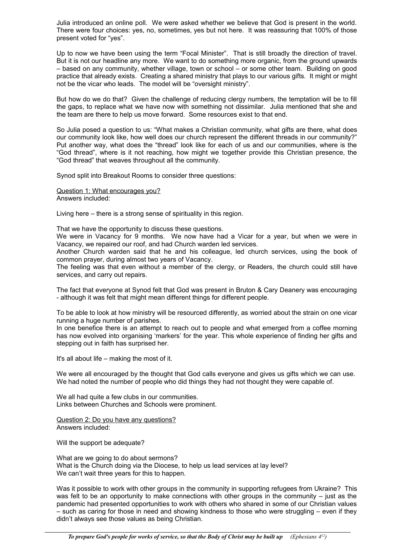Julia introduced an online poll. We were asked whether we believe that God is present in the world. There were four choices: yes, no, sometimes, yes but not here. It was reassuring that 100% of those present voted for "yes".

Up to now we have been using the term "Focal Minister". That is still broadly the direction of travel. But it is not our headline any more. We want to do something more organic, from the ground upwards – based on any community, whether village, town or school – or some other team. Building on good practice that already exists. Creating a shared ministry that plays to our various gifts. It might or might not be the vicar who leads. The model will be "oversight ministry".

But how do we do that? Given the challenge of reducing clergy numbers, the temptation will be to fill the gaps, to replace what we have now with something not dissimilar. Julia mentioned that she and the team are there to help us move forward. Some resources exist to that end.

So Julia posed a question to us: "What makes a Christian community, what gifts are there, what does our community look like, how well does our church represent the different threads in our community?" Put another way, what does the "thread" look like for each of us and our communities, where is the "God thread", where is it not reaching, how might we together provide this Christian presence, the "God thread" that weaves throughout all the community.

Synod split into Breakout Rooms to consider three questions:

Question 1: What encourages you? Answers included:

Living here – there is a strong sense of spirituality in this region.

That we have the opportunity to discuss these questions.

We were in Vacancy for 9 months. We now have had a Vicar for a year, but when we were in Vacancy, we repaired our roof, and had Church warden led services.

Another Church warden said that he and his colleague, led church services, using the book of common prayer, during almost two years of Vacancy.

The feeling was that even without a member of the clergy, or Readers, the church could still have services, and carry out repairs.

The fact that everyone at Synod felt that God was present in Bruton & Cary Deanery was encouraging - although it was felt that might mean different things for different people.

To be able to look at how ministry will be resourced differently, as worried about the strain on one vicar running a huge number of parishes.

In one benefice there is an attempt to reach out to people and what emerged from a coffee morning has now evolved into organising 'markers' for the year. This whole experience of finding her gifts and stepping out in faith has surprised her.

It's all about life – making the most of it.

We were all encouraged by the thought that God calls everyone and gives us gifts which we can use. We had noted the number of people who did things they had not thought they were capable of.

We all had quite a few clubs in our communities. Links between Churches and Schools were prominent.

Question 2: Do you have any questions? Answers included:

Will the support be adequate?

What are we going to do about sermons? What is the Church doing via the Diocese, to help us lead services at lay level? We can't wait three years for this to happen.

Was it possible to work with other groups in the community in supporting refugees from Ukraine? This was felt to be an opportunity to make connections with other groups in the community – just as the pandemic had presented opportunities to work with others who shared in some of our Christian values – such as caring for those in need and showing kindness to those who were struggling – even if they didn't always see those values as being Christian.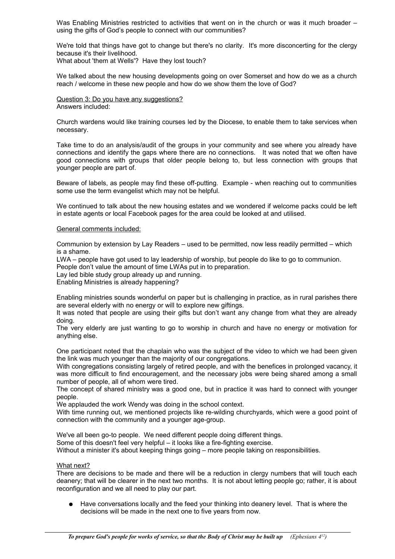Was Enabling Ministries restricted to activities that went on in the church or was it much broader – using the gifts of God's people to connect with our communities?

We're told that things have got to change but there's no clarity. It's more disconcerting for the clergy because it's their livelihood.

What about 'them at Wells'? Have they lost touch?

We talked about the new housing developments going on over Somerset and how do we as a church reach / welcome in these new people and how do we show them the love of God?

Question 3: Do you have any suggestions? Answers included:

Church wardens would like training courses led by the Diocese, to enable them to take services when necessary.

Take time to do an analysis/audit of the groups in your community and see where you already have connections and identify the gaps where there are no connections. It was noted that we often have good connections with groups that older people belong to, but less connection with groups that younger people are part of.

Beware of labels, as people may find these off-putting. Example - when reaching out to communities some use the term evangelist which may not be helpful.

We continued to talk about the new housing estates and we wondered if welcome packs could be left in estate agents or local Facebook pages for the area could be looked at and utilised.

### General comments included:

Communion by extension by Lay Readers – used to be permitted, now less readily permitted – which is a shame.

LWA – people have got used to lay leadership of worship, but people do like to go to communion.

People don't value the amount of time LWAs put in to preparation.

Lay led bible study group already up and running.

Enabling Ministries is already happening?

Enabling ministries sounds wonderful on paper but is challenging in practice, as in rural parishes there are several elderly with no energy or will to explore new giftings.

It was noted that people are using their gifts but don't want any change from what they are already doing.

The very elderly are just wanting to go to worship in church and have no energy or motivation for anything else.

One participant noted that the chaplain who was the subject of the video to which we had been given the link was much younger than the majority of our congregations.

With congregations consisting largely of retired people, and with the benefices in prolonged vacancy, it was more difficult to find encouragement, and the necessary jobs were being shared among a small number of people, all of whom were tired.

The concept of shared ministry was a good one, but in practice it was hard to connect with younger people.

We applauded the work Wendy was doing in the school context.

With time running out, we mentioned projects like re-wilding churchyards, which were a good point of connection with the community and a younger age-group.

We've all been go-to people. We need different people doing different things.

Some of this doesn't feel very helpful – it looks like a fire-fighting exercise.

Without a minister it's about keeping things going – more people taking on responsibilities.

### What next?

There are decisions to be made and there will be a reduction in clergy numbers that will touch each deanery; that will be clearer in the next two months. It is not about letting people go; rather, it is about reconfiguration and we all need to play our part.

Have conversations locally and the feed your thinking into deanery level. That is where the decisions will be made in the next one to five years from now.